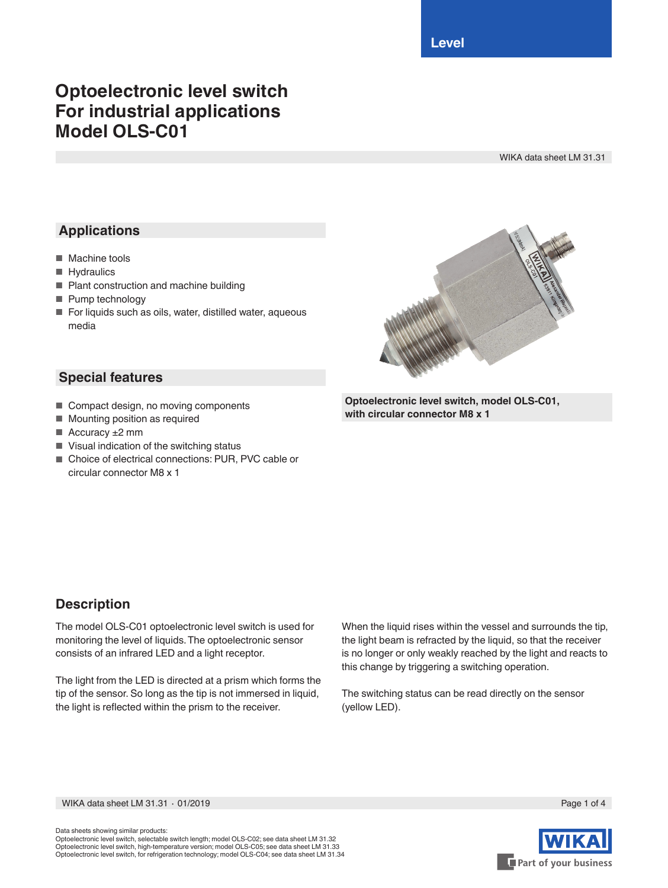**Level**

## **Optoelectronic level switch For industrial applications Model OLS-C01**

WIKA data sheet LM 31.31

## **Applications**

- Machine tools
- Hydraulics
- Plant construction and machine building
- Pump technology
- For liquids such as oils, water, distilled water, aqueous media



#### **Special features**

- Compact design, no moving components
- Mounting position as required
- Accuracy ±2 mm
- Visual indication of the switching status
- Choice of electrical connections: PUR, PVC cable or circular connector M8 x 1

# **Description**

The model OLS-C01 optoelectronic level switch is used for monitoring the level of liquids. The optoelectronic sensor consists of an infrared LED and a light receptor.

The light from the LED is directed at a prism which forms the tip of the sensor. So long as the tip is not immersed in liquid, the light is reflected within the prism to the receiver.

When the liquid rises within the vessel and surrounds the tip, the light beam is refracted by the liquid, so that the receiver is no longer or only weakly reached by the light and reacts to this change by triggering a switching operation.

The switching status can be read directly on the sensor (yellow LED).

WIKA data sheet LM 31.31 ⋅ 01/2019 Page 1 of 4

Data sheets showing similar products:

Optoelectronic level switch, selectable switch length; model OLS-C02; see data sheet LM 31.32 Optoelectronic level switch, high-temperature version; model OLS-C05; see data sheet LM 31.33 Optoelectronic level switch, for refrigeration technology; model OLS-C04; see data sheet LM 31.34



**Optoelectronic level switch, model OLS-C01, with circular connector M8 x 1**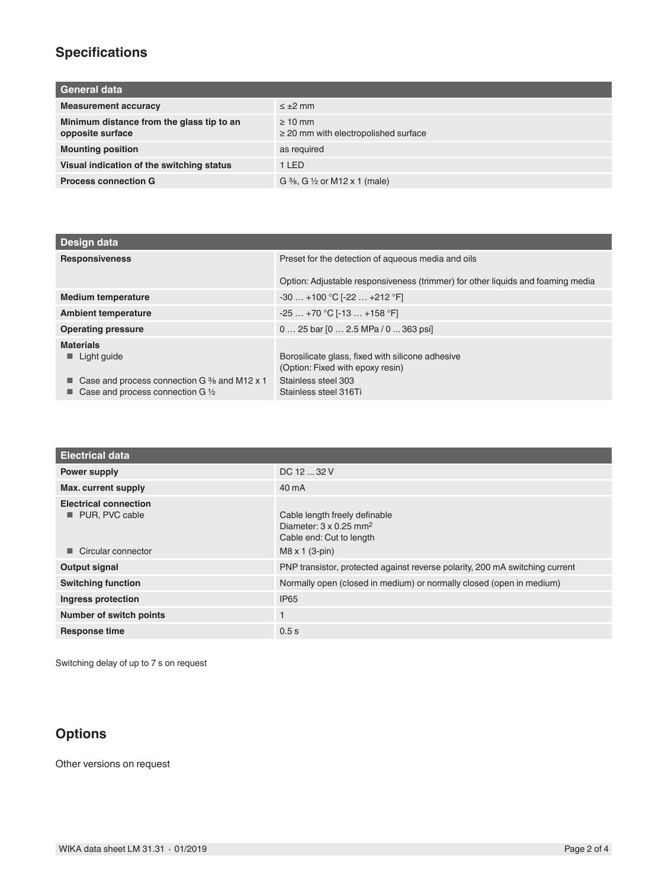## **Specifications**

| General data                                                  |                                                           |
|---------------------------------------------------------------|-----------------------------------------------------------|
| <b>Measurement accuracy</b>                                   | $\leq \pm 2$ mm                                           |
| Minimum distance from the glass tip to an<br>opposite surface | $\geq 10$ mm<br>$\geq$ 20 mm with electropolished surface |
| <b>Mounting position</b>                                      | as required                                               |
| Visual indication of the switching status                     | 1 LED                                                     |
| <b>Process connection G</b>                                   | G $\frac{3}{8}$ , G $\frac{1}{2}$ or M12 x 1 (male)       |

| Design data                                                                                         |                                                                                      |
|-----------------------------------------------------------------------------------------------------|--------------------------------------------------------------------------------------|
| <b>Responsiveness</b>                                                                               | Preset for the detection of aqueous media and oils                                   |
|                                                                                                     | Option: Adjustable responsiveness (trimmer) for other liquids and foaming media      |
| <b>Medium temperature</b>                                                                           | $-30+100$ °C [ $-22+212$ °F]                                                         |
| <b>Ambient temperature</b>                                                                          | $-25+70$ °C [-13  +158 °F]                                                           |
| <b>Operating pressure</b>                                                                           | $0 25$ bar $[0 2.5$ MPa $/ 0 363$ psi                                                |
| <b>Materials</b>                                                                                    |                                                                                      |
| $\blacksquare$ Light guide                                                                          | Borosilicate glass, fixed with silicone adhesive<br>(Option: Fixed with epoxy resin) |
| ■ Case and process connection G $\frac{3}{6}$ and M12 x 1<br>Case and process connection G 1/2<br>■ | Stainless steel 303<br>Stainless steel 316Ti                                         |

| <b>Electrical data</b>                                               |                                                                                                                                 |
|----------------------------------------------------------------------|---------------------------------------------------------------------------------------------------------------------------------|
| Power supply                                                         | DC 12  32 V                                                                                                                     |
| Max. current supply                                                  | 40 mA                                                                                                                           |
| <b>Electrical connection</b><br>PUR, PVC cable<br>Circular connector | Cable length freely definable<br>Diameter: $3 \times 0.25$ mm <sup>2</sup><br>Cable end: Cut to length<br>$M8 \times 1$ (3-pin) |
| Output signal                                                        | PNP transistor, protected against reverse polarity, 200 mA switching current                                                    |
| <b>Switching function</b>                                            | Normally open (closed in medium) or normally closed (open in medium)                                                            |
| Ingress protection                                                   | <b>IP65</b>                                                                                                                     |
| <b>Number of switch points</b>                                       |                                                                                                                                 |
| <b>Response time</b>                                                 | 0.5s                                                                                                                            |

Switching delay of up to 7 s on request

#### **Options**

Other versions on request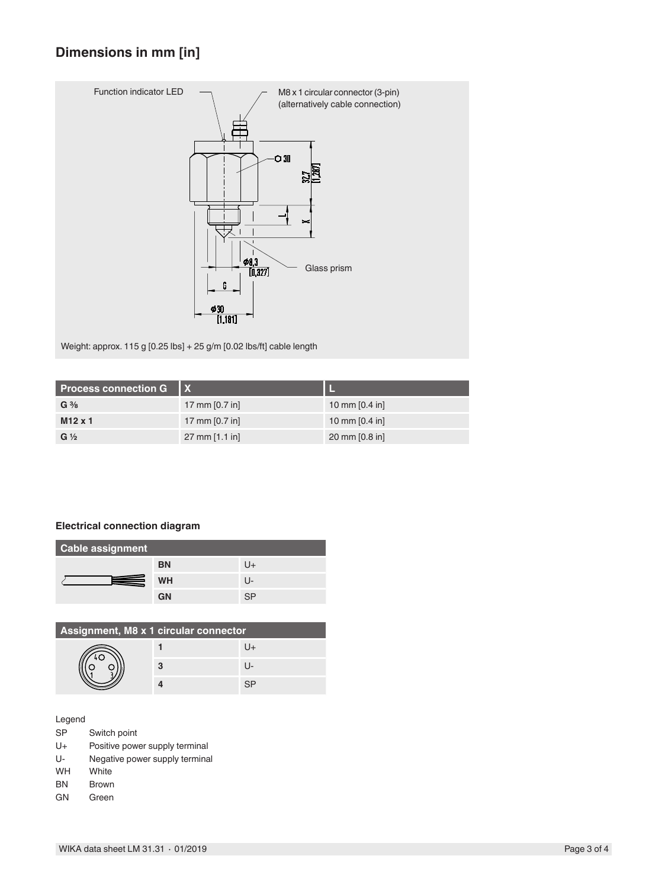## **Dimensions in mm [in]**



Weight: approx. 115 g [0.25 lbs] + 25 g/m [0.02 lbs/ft] cable length

| <b>Process connection G</b> |                          |                          |
|-----------------------------|--------------------------|--------------------------|
| $G \frac{3}{8}$             | 17 mm $[0.7 in]$         | 10 mm $[0.4 \text{ in}]$ |
| $M12 \times 1$              | 17 mm $[0.7 in]$         | 10 mm $[0.4 \text{ in}]$ |
| $G\frac{1}{2}$              | $27 \text{ mm}$ [1.1 in] | 20 mm [0.8 in]           |

#### **Electrical connection diagram**

| <b>Cable assignment</b> |           |              |
|-------------------------|-----------|--------------|
|                         | <b>BN</b> | U+           |
| =                       | <b>WH</b> | $\mathsf{L}$ |
|                         | <b>GN</b> | co           |

| Assignment, M8 x 1 circular connector |   |  |
|---------------------------------------|---|--|
|                                       |   |  |
|                                       | з |  |
|                                       |   |  |

Legend

- SP Switch point
- U+ Positive power supply terminal<br>U- Negative power supply terminal
- U- Negative power supply terminal<br>WH White
- White
- BN Brown<br>GN Green
- Green